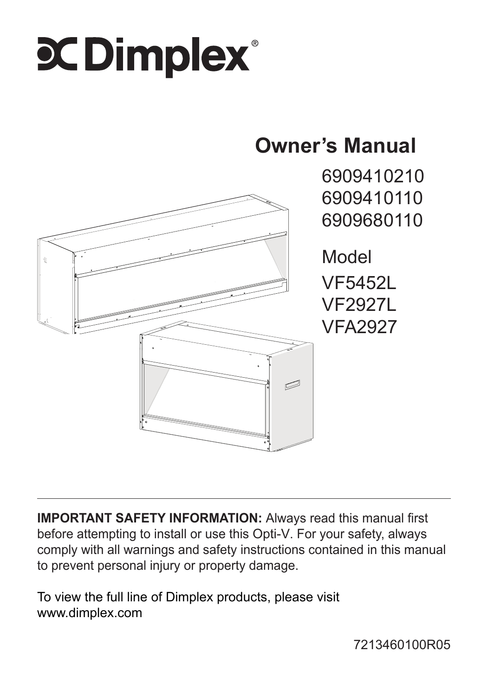# **C Dimplex**

## **Owner's Manual**



6909410210 6909410110 6909680110

Model VF5452L VF2927L VFA2927

**IMPORTANT SAFETY INFORMATION:** Always read this manual first before attempting to install or use this Opti-V. For your safety, always comply with all warnings and safety instructions contained in this manual to prevent personal injury or property damage.

To view the full line of Dimplex products, please visit www.dimplex.com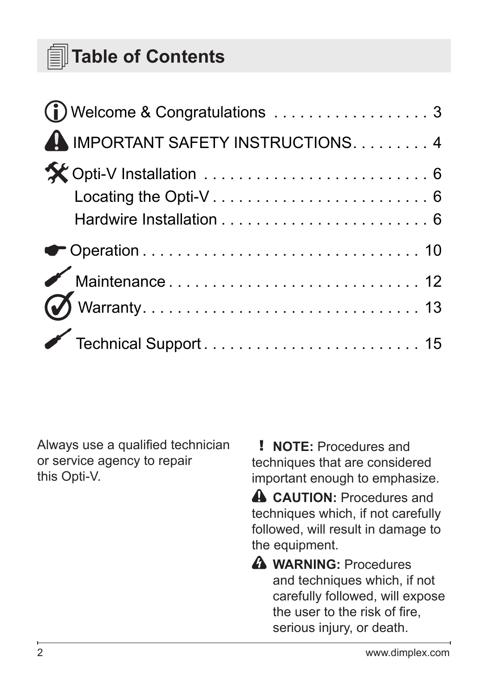### **Table of Contents**

| A IMPORTANT SAFETY INSTRUCTIONS. 4 |  |
|------------------------------------|--|
|                                    |  |
|                                    |  |
|                                    |  |
|                                    |  |

Always use a qualified technician or service agency to repair this Opti-V.

! **NOTE:** Procedures and techniques that are considered important enough to emphasize.

**A** CAUTION: Procedures and techniques which, if not carefully followed, will result in damage to the equipment.

**A** WARNING: Procedures and techniques which, if not carefully followed, will expose the user to the risk of fire, serious injury, or death.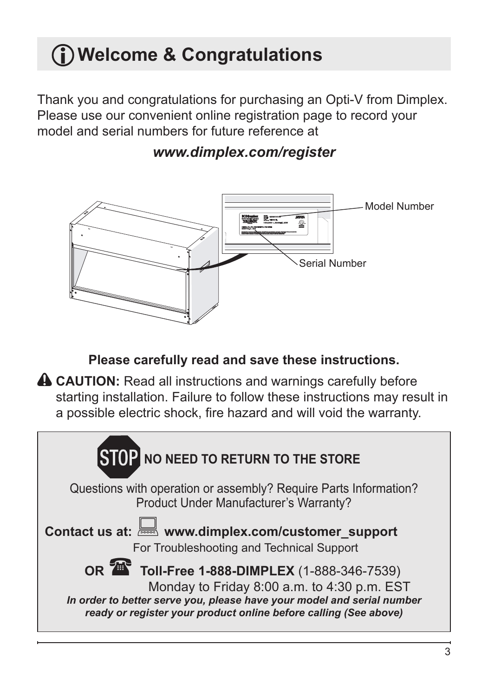## <span id="page-2-0"></span>**Welcome & Congratulations**

Thank you and congratulations for purchasing an Opti-V from Dimplex. Please use our convenient online registration page to record your model and serial numbers for future reference at



### *www.dimplex.com/register*

**Please carefully read and save these instructions.**

**A CAUTION:** Read all instructions and warnings carefully before starting installation. Failure to follow these instructions may result in a possible electric shock, fire hazard and will void the warranty.

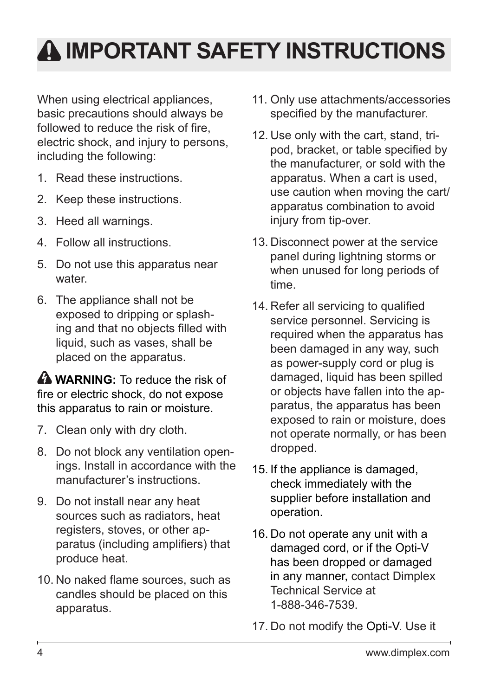## <span id="page-3-0"></span>**IMPORTANT SAFETY INSTRUCTIONS**

When using electrical appliances. basic precautions should always be followed to reduce the risk of fire, electric shock, and injury to persons, including the following:

- 1. Read these instructions.
- 2. Keep these instructions.
- 3. Heed all warnings.
- 4. Follow all instructions.
- 5. Do not use this apparatus near water
- 6. The appliance shall not be exposed to dripping or splashing and that no objects filled with liquid, such as vases, shall be placed on the apparatus.

**A WARNING:** To reduce the risk of fire or electric shock, do not expose this apparatus to rain or moisture.

- 7. Clean only with dry cloth.
- 8. Do not block any ventilation openings. Install in accordance with the manufacturer's instructions.
- 9. Do not install near any heat sources such as radiators, heat registers, stoves, or other apparatus (including amplifiers) that produce heat.
- 10. No naked flame sources, such as candles should be placed on this apparatus.
- 11. Only use attachments/accessories specified by the manufacturer.
- 12. Use only with the cart, stand, tripod, bracket, or table specified by the manufacturer, or sold with the apparatus. When a cart is used, use caution when moving the cart/ apparatus combination to avoid injury from tip-over.
- 13. Disconnect power at the service panel during lightning storms or when unused for long periods of time.
- 14. Refer all servicing to qualified service personnel. Servicing is required when the apparatus has been damaged in any way, such as power-supply cord or plug is damaged, liquid has been spilled or objects have fallen into the apparatus, the apparatus has been exposed to rain or moisture, does not operate normally, or has been dropped.
- 15. If the appliance is damaged, check immediately with the supplier before installation and operation.
- 16. Do not operate any unit with a damaged cord, or if the Opti-V has been dropped or damaged in any manner, contact Dimplex Technical Service at 1-888-346-7539.
- 17. Do not modify the Opti-V. Use it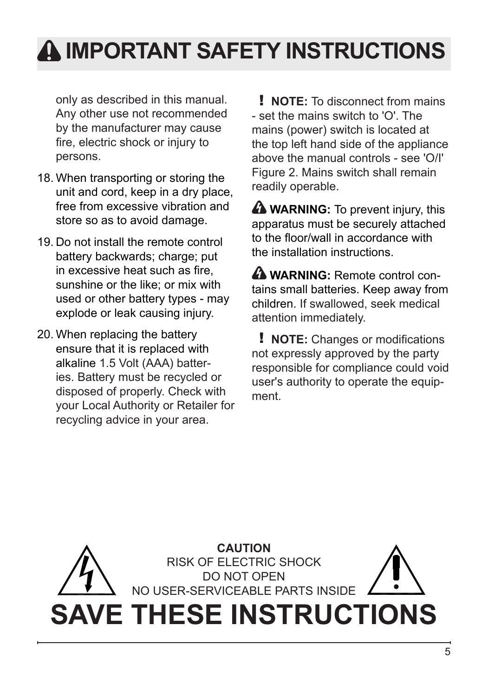## **IMPORTANT SAFETY INSTRUCTIONS**

only as described in this manual. Any other use not recommended by the manufacturer may cause fire, electric shock or injury to persons.

- 18. When transporting or storing the unit and cord, keep in a dry place, free from excessive vibration and store so as to avoid damage.
- 19. Do not install the remote control battery backwards; charge; put in excessive heat such as fire, sunshine or the like; or mix with used or other battery types - may explode or leak causing injury.
- 20. When replacing the battery ensure that it is replaced with alkaline 1.5 Volt (AAA) batteries. Battery must be recycled or disposed of properly. Check with your Local Authority or Retailer for recycling advice in your area.

! **NOTE:** To disconnect from mains - set the mains switch to 'O'. The mains (power) switch is located at the top left hand side of the appliance above the manual controls - see 'O/I' Figure 2. Mains switch shall remain readily operable.

**A WARNING:** To prevent injury, this apparatus must be securely attached to the floor/wall in accordance with the installation instructions.

**A WARNING:** Remote control contains small batteries. Keep away from children. If swallowed, seek medical attention immediately.

! **NOTE:** Changes or modifications not expressly approved by the party responsible for compliance could void user's authority to operate the equipment.

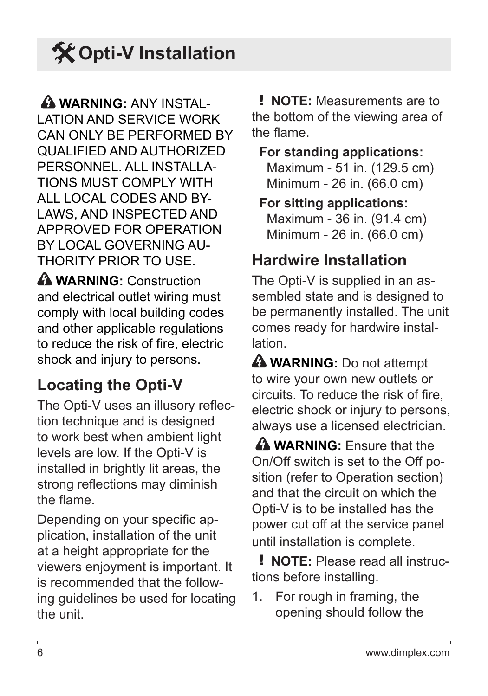## <span id="page-5-0"></span>**X** Opti-V Installation

 **WARNING:** ANY INSTAL-LATION AND SERVICE WORK CAN ONLY BE PERFORMED BY QUALIFIED AND AUTHORIZED PERSONNEL ALL INSTALLA-TIONS MUST COMPLY WITH ALL LOCAL CODES AND BY-LAWS, AND INSPECTED AND APPROVED FOR OPERATION BY LOCAL GOVERNING AU-THORITY PRIOR TO USE.

**A WARNING:** Construction and electrical outlet wiring must comply with local building codes and other applicable regulations to reduce the risk of fire, electric shock and injury to persons.

### **Locating the Opti-V**

The Opti-V uses an illusory reflection technique and is designed to work best when ambient light levels are low. If the Opti-V is installed in brightly lit areas, the strong reflections may diminish the flame.

Depending on your specific application, installation of the unit at a height appropriate for the viewers enjoyment is important. It is recommended that the following guidelines be used for locating the unit.

! **NOTE:** Measurements are to the bottom of the viewing area of the flame.

**For standing applications:** Maximum - 51 in. (129.5 cm) Minimum - 26 in. (66.0 cm)

**For sitting applications:** Maximum - 36 in. (91.4 cm) Minimum - 26 in. (66.0 cm)

### **Hardwire Installation**

The Opti-V is supplied in an assembled state and is designed to be permanently installed. The unit comes ready for hardwire installation.

**A WARNING:** Do not attempt to wire your own new outlets or circuits. To reduce the risk of fire, electric shock or injury to persons, always use a licensed electrician.

 **WARNING:** Ensure that the On/Off switch is set to the Off position (refer to Operation section) and that the circuit on which the Opti-V is to be installed has the power cut off at the service panel until installation is complete.

! **NOTE:** Please read all instructions before installing.

1. For rough in framing, the opening should follow the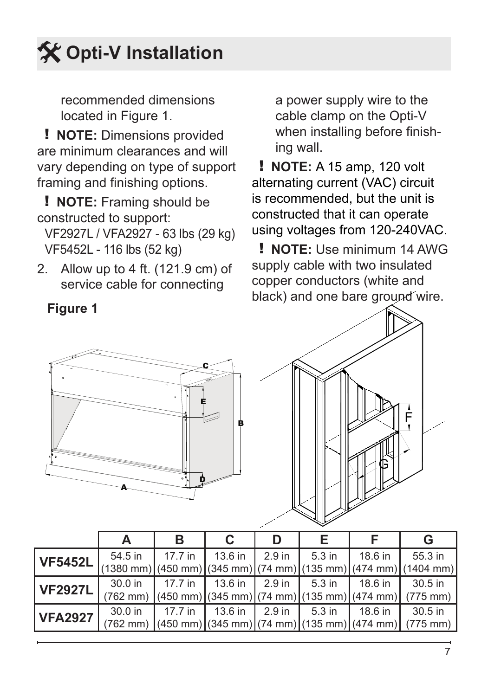## **Opti-V Installation**

recommended dimensions located in Figure 1.

! **NOTE:** Dimensions provided are minimum clearances and will vary depending on type of support framing and finishing options.

! **NOTE:** Framing should be constructed to support:

VF2927L / VFA2927 - 63 lbs (29 kg) VF5452L - 116 lbs (52 kg)

2. Allow up to 4 ft. (121.9 cm) of service cable for connecting

a power supply wire to the cable clamp on the Opti-V when installing before finishing wall.

! **NOTE:** A 15 amp, 120 volt alternating current (VAC) circuit is recommended, but the unit is constructed that it can operate using voltages from 120-240VAC.

! **NOTE:** Use minimum 14 AWG supply cable with two insulated copper conductors (white and black) and one bare ground wire.



| <b>VF5452L</b> | 54.5 in | $1.17.7$ in                                                       |  | 13.6 in 2.9 in 1 5.3 in 1 18.6 in | 55.3 in                                                                                                                                                                                       |
|----------------|---------|-------------------------------------------------------------------|--|-----------------------------------|-----------------------------------------------------------------------------------------------------------------------------------------------------------------------------------------------|
|                |         |                                                                   |  |                                   | $\left[\frac{(1380 \text{ mm})}{(450 \text{ mm})}\right]$ (345 mm) $\left[\frac{(74 \text{ mm})}{(135 \text{ mm})}\right]$ (474 mm) $\left[\frac{(1404 \text{ mm})}{(450 \text{ mm})}\right]$ |
| <b>VF2927L</b> |         |                                                                   |  |                                   | 30.0 in 1 17.7 in 1 13.6 in 1 2.9 in 1 5.3 in 1 18.6 in 1 30.5 in                                                                                                                             |
|                |         |                                                                   |  |                                   | $(762 \text{ mm})$ (450 mm) (345 mm) (74 mm) (135 mm) (474 mm) (775 mm)                                                                                                                       |
| <b>VFA2927</b> |         | 30.0 in 1 17.7 in 1 13.6 in 1 2.9 in 1 5.3 in 1 18.6 in 1 30.5 in |  |                                   |                                                                                                                                                                                               |
|                |         |                                                                   |  |                                   | $(762 \text{ mm})$ (450 mm) (345 mm) (74 mm) (135 mm) (474 mm) (775 mm)                                                                                                                       |

**Figure 1**

F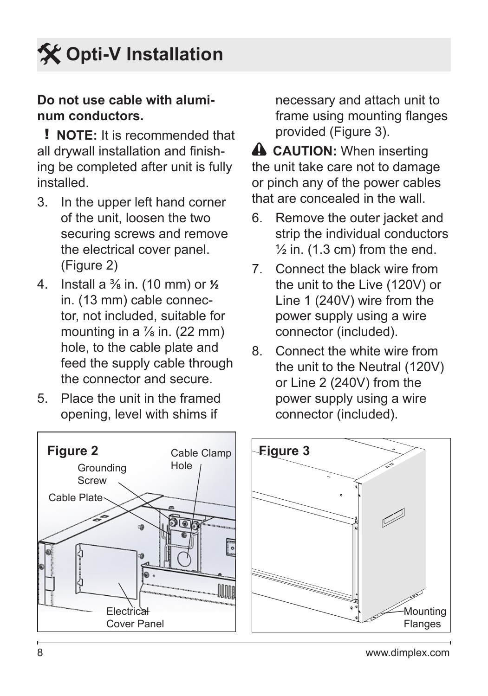

#### **Do not use cable with aluminum conductors.**

! **NOTE:** It is recommended that all drywall installation and finishing be completed after unit is fully installed.

- 3. In the upper left hand corner of the unit, loosen the two securing screws and remove the electrical cover panel. (Figure 2)
- 4. Install a ⅜ in. (10 mm) or **½** in. (13 mm) cable connector, not included, suitable for mounting in a  $\frac{7}{8}$  in. (22 mm) hole, to the cable plate and feed the supply cable through the connector and secure.
- 5. Place the unit in the framed opening, level with shims if



necessary and attach unit to frame using mounting flanges provided (Figure 3).

**A CAUTION:** When inserting the unit take care not to damage or pinch any of the power cables that are concealed in the wall.

- 6. Remove the outer jacket and strip the individual conductors  $\frac{1}{2}$  in. (1.3 cm) from the end.
- 7. Connect the black wire from the unit to the Live (120V) or Line 1 (240V) wire from the power supply using a wire connector (included).
- 8. Connect the white wire from the unit to the Neutral (120V) or Line 2 (240V) from the power supply using a wire connector (included).

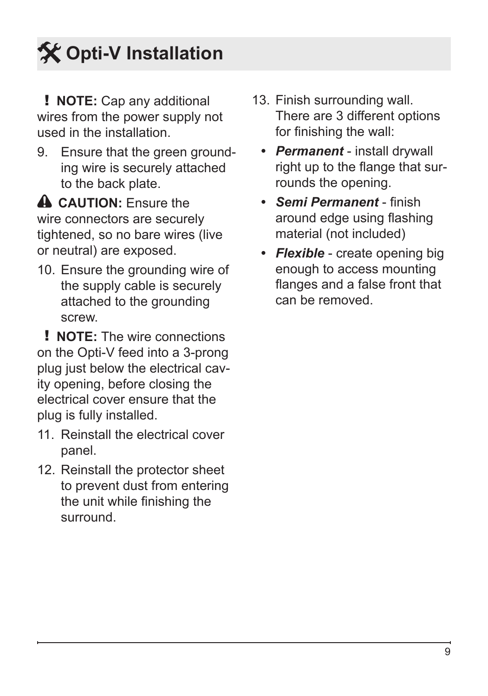## **Opti-V Installation**

! **NOTE:** Cap any additional wires from the power supply not used in the installation.

9. Ensure that the green grounding wire is securely attached to the back plate.

**A CAUTION:** Fnsure the wire connectors are securely tightened, so no bare wires (live or neutral) are exposed.

10. Ensure the grounding wire of the supply cable is securely attached to the grounding screw.

! **NOTE:** The wire connections on the Opti-V feed into a 3-prong plug just below the electrical cavity opening, before closing the electrical cover ensure that the plug is fully installed.

- 11. Reinstall the electrical cover panel.
- 12. Reinstall the protector sheet to prevent dust from entering the unit while finishing the surround.
- 13. Finish surrounding wall. There are 3 different options for finishing the wall:
	- *• Permanent*  install drywall right up to the flange that surrounds the opening.
	- *• Semi Permanent*  finish around edge using flashing material (not included)
	- *• Flexible*  create opening big enough to access mounting flanges and a false front that can be removed.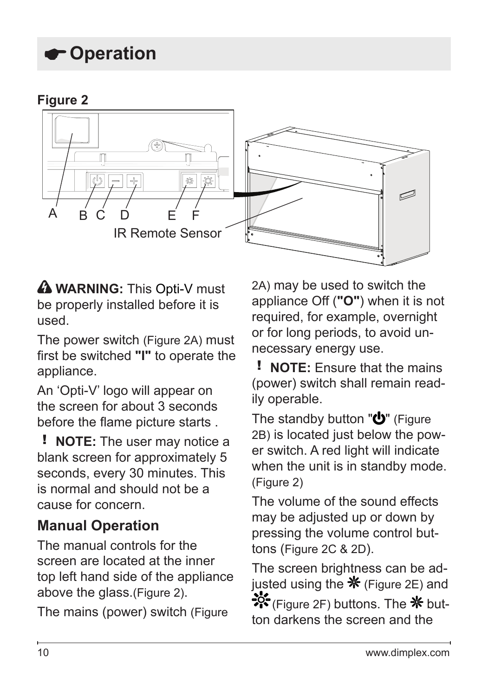### <span id="page-9-0"></span>**Operation**





**A WARNING:** This Opti-V must be properly installed before it is used.

The power switch (Figure 2A) must first be switched **"I"** to operate the appliance.

An 'Opti-V' logo will appear on the screen for about 3 seconds before the flame picture starts .

! **NOTE:** The user may notice a blank screen for approximately 5 seconds, every 30 minutes. This is normal and should not be a cause for concern.

### **Manual Operation**

The manual controls for the screen are located at the inner top left hand side of the appliance above the glass.(Figure 2).

The mains (power) switch (Figure

2A) may be used to switch the appliance Off (**"O"**) when it is not required, for example, overnight or for long periods, to avoid unnecessary energy use.

! **NOTE:** Ensure that the mains (power) switch shall remain readily operable.

The standby button " $\mathbf{U}$ " (Figure 2B) is located just below the power switch. A red light will indicate when the unit is in standby mode. (Figure 2)

The volume of the sound effects may be adjusted up or down by pressing the volume control buttons (Figure 2C & 2D).

The screen brightness can be adjusted using the  $*$  (Figure 2E) and  $\frac{1}{25}$  (Figure 2F) buttons. The  $\frac{1}{10}$  button darkens the screen and the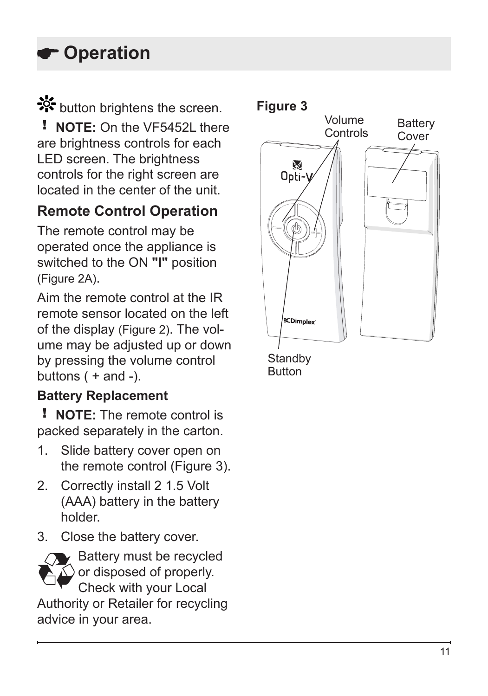## **Operation**

## ‡ button brightens the screen.

! **NOTE:** On the VF5452L there are brightness controls for each LED screen. The brightness controls for the right screen are located in the center of the unit.

### **Remote Control Operation**

The remote control may be operated once the appliance is switched to the ON **"I"** position (Figure 2A).

Aim the remote control at the IR remote sensor located on the left of the display (Figure 2). The volume may be adjusted up or down by pressing the volume control buttons  $( + \text{ and } -).$ 

### **Battery Replacement**

! **NOTE:** The remote control is packed separately in the carton.

- 1. Slide battery cover open on the remote control (Figure 3).
- 2. Correctly install 2 1.5 Volt (AAA) battery in the battery holder.
- 3. Close the battery cover.



 $\epsilon$  Battery must be recycled  $\triangle$  or disposed of properly. Check with your Local

Authority or Retailer for recycling advice in your area.



**Standby** Button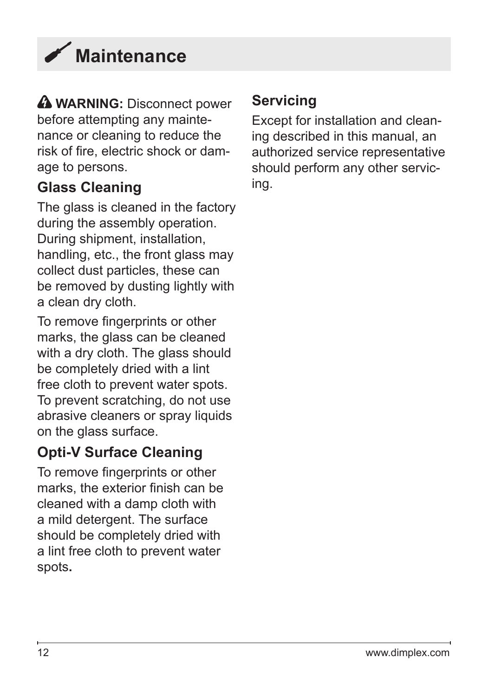<span id="page-11-0"></span>

**A WARNING:** Disconnect power before attempting any maintenance or cleaning to reduce the risk of fire, electric shock or damage to persons.

### **Glass Cleaning**

The glass is cleaned in the factory during the assembly operation. During shipment, installation, handling, etc., the front glass may collect dust particles, these can be removed by dusting lightly with a clean dry cloth.

To remove fingerprints or other marks, the glass can be cleaned with a dry cloth. The glass should be completely dried with a lint free cloth to prevent water spots. To prevent scratching, do not use abrasive cleaners or spray liquids on the glass surface.

### **Opti-V Surface Cleaning**

To remove fingerprints or other marks, the exterior finish can be cleaned with a damp cloth with a mild detergent. The surface should be completely dried with a lint free cloth to prevent water spots**.** 

### **Servicing**

Except for installation and cleaning described in this manual, an authorized service representative should perform any other servicing.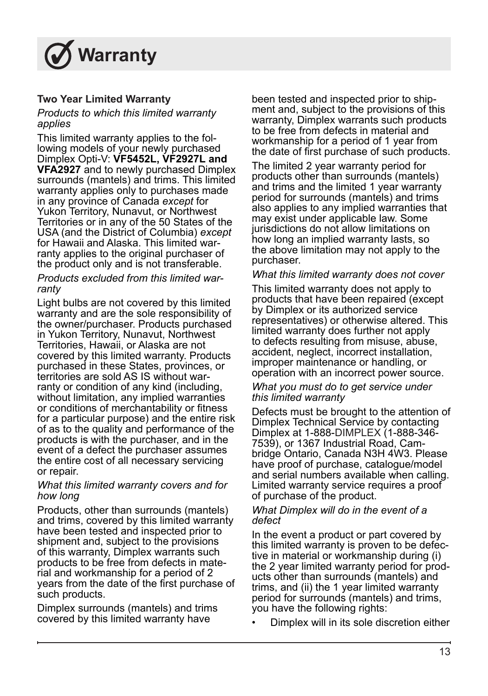<span id="page-12-0"></span>

#### **Two Year Limited Warranty**

#### *Products to which this limited warranty applies*

This limited warranty applies to the following models of your newly purchased Dimplex Opti-V: **VF5452L, VF2927L and VFA2927** and to newly purchased Dimplex surrounds (mantels) and trims. This limited warranty applies only to purchases made in any province of Canada *except* for Yukon Territory, Nunavut, or Northwest Territories or in any of the 50 States of the USA (and the District of Columbia) *except* for Hawaii and Alaska. This limited warranty applies to the original purchaser of the product only and is not transferable.

#### *Products excluded from this limited warranty*

Light bulbs are not covered by this limited warranty and are the sole responsibility of the owner/purchaser. Products purchased in Yukon Territory, Nunavut, Northwest Territories, Hawaii, or Alaska are not covered by this limited warranty. Products purchased in these States, provinces, or territories are sold AS IS without warranty or condition of any kind (including, without limitation, any implied warranties or conditions of merchantability or fitness for a particular purpose) and the entire risk of as to the quality and performance of the products is with the purchaser, and in the event of a defect the purchaser assumes the entire cost of all necessary servicing or repair.

#### *What this limited warranty covers and for how long*

Products, other than surrounds (mantels) and trims, covered by this limited warranty have been tested and inspected prior to shipment and, subject to the provisions of this warranty, Dimplex warrants such products to be free from defects in material and workmanship for a period of 2 years from the date of the first purchase of such products.

Dimplex surrounds (mantels) and trims covered by this limited warranty have

been tested and inspected prior to shipment and, subject to the provisions of this warranty, Dimplex warrants such products to be free from defects in material and workmanship for a period of 1 year from the date of first purchase of such products.

The limited 2 year warranty period for products other than surrounds (mantels) and trims and the limited 1 year warranty period for surrounds (mantels) and trims also applies to any implied warranties that may exist under applicable law. Some jurisdictions do not allow limitations on how long an implied warranty lasts, so the above limitation may not apply to the purchaser.

#### *What this limited warranty does not cover*

This limited warranty does not apply to products that have been repaired (except by Dimplex or its authorized service representatives) or otherwise altered. This limited warranty does further not apply to defects resulting from misuse, abuse, accident, neglect, incorrect installation, improper maintenance or handling, or operation with an incorrect power source.

#### *What you must do to get service under this limited warranty*

Defects must be brought to the attention of Dimplex Technical Service by contacting Dimplex at 1-888-DIMPLEX (1-888-346- 7539), or 1367 Industrial Road, Cambridge Ontario, Canada N3H 4W3. Please have proof of purchase, catalogue/model and serial numbers available when calling. Limited warranty service requires a proof of purchase of the product.

#### *What Dimplex will do in the event of a defect*

In the event a product or part covered by this limited warranty is proven to be defective in material or workmanship during (i) the 2 year limited warranty period for products other than surrounds (mantels) and trims, and (ii) the 1 year limited warranty period for surrounds (mantels) and trims, you have the following rights:

• Dimplex will in its sole discretion either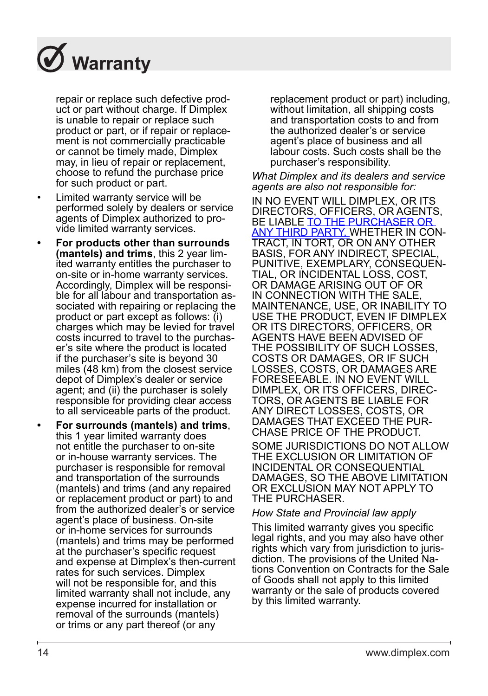

repair or replace such defective product or part without charge. If Dimplex is unable to repair or replace such product or part, or if repair or replacement is not commercially practicable or cannot be timely made, Dimplex may, in lieu of repair or replacement, choose to refund the purchase price for such product or part.

- Limited warranty service will be performed solely by dealers or service agents of Dimplex authorized to provide limited warranty services.
- **• For products other than surrounds (mantels) and trims**, this 2 year limited warranty entitles the purchaser to on-site or in-home warranty services. Accordingly, Dimplex will be responsible for all labour and transportation associated with repairing or replacing the product or part except as follows: (i) charges which may be levied for travel costs incurred to travel to the purchaser's site where the product is located if the purchaser's site is beyond 30 miles (48 km) from the closest service depot of Dimplex's dealer or service agent; and (ii) the purchaser is solely responsible for providing clear access to all serviceable parts of the product.
- **• For surrounds (mantels) and trims**, this 1 year limited warranty does not entitle the purchaser to on-site or in-house warranty services. The purchaser is responsible for removal and transportation of the surrounds (mantels) and trims (and any repaired or replacement product or part) to and from the authorized dealer's or service agent's place of business. On-site or in-home services for surrounds (mantels) and trims may be performed at the purchaser's specific request and expense at Dimplex's then-current rates for such services. Dimplex will not be responsible for, and this limited warranty shall not include, any expense incurred for installation or removal of the surrounds (mantels) or trims or any part thereof (or any

replacement product or part) including, without limitation, all shipping costs and transportation costs to and from the authorized dealer's or service agent's place of business and all labour costs. Such costs shall be the purchaser's responsibility.

*What Dimplex and its dealers and service agents are also not responsible for:*

IN NO EVENT WILL DIMPLEX, OR ITS DIRECTORS, OFFICERS, OR AGENTS, BE LIABLE TO THE PURCHASER OR ANY THIRD PARTY, WHETHER IN CON-TRACT, IN TORT, OR ON ANY OTHER BASIS, FOR ANY INDIRECT, SPECIAL, PUNITIVE, EXEMPLARY, CONSEQUEN-TIAL, OR INCIDENTAL LOSS, COST, OR DAMAGE ARISING OUT OF OR IN CONNECTION WITH THE SALE, MAINTENANCE, USE, OR INABILITY TO USE THE PRODUCT, EVEN IF DIMPLEX OR ITS DIRECTORS, OFFICERS, OR AGENTS HAVE BEEN ADVISED OF THE POSSIBILITY OF SUCH LOSSES, COSTS OR DAMAGES, OR IF SUCH LOSSES, COSTS, OR DAMAGES ARE FORESEEABLE. IN NO EVENT WILL DIMPLEX, OR ITS OFFICERS, DIREC-TORS, OR AGENTS BE LIABLE FOR ANY DIRECT LOSSES, COSTS, OR DAMAGES THAT EXCEED THE PUR-CHASE PRICE OF THE PRODUCT. SOME JURISDICTIONS DO NOT ALLOW

THE EXCLUSION OR LIMITATION OF INCIDENTAL OR CONSEQUENTIAL DAMAGES, SO THE ABOVE LIMITATION OR EXCLUSION MAY NOT APPLY TO THE PURCHASER.

#### *How State and Provincial law apply*

This limited warranty gives you specific legal rights, and you may also have other rights which vary from jurisdiction to jurisdiction. The provisions of the United Nations Convention on Contracts for the Sale of Goods shall not apply to this limited warranty or the sale of products covered by this limited warranty.